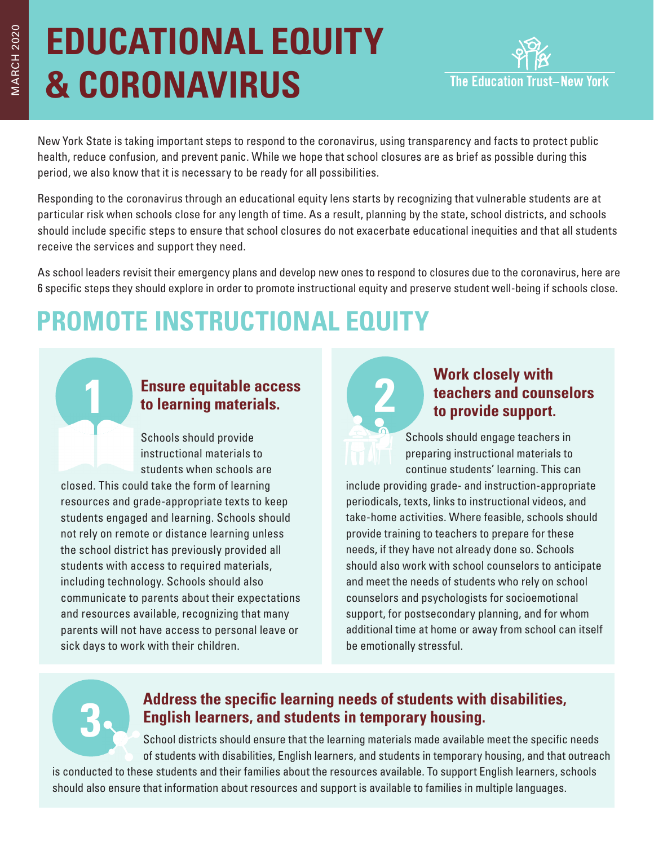# **EDUCATIONAL EQUITY & CORONAVIRUS**



New York State is taking important steps to respond to the coronavirus, using transparency and facts to protect public health, reduce confusion, and prevent panic. While we hope that school closures are as brief as possible during this period, we also know that it is necessary to be ready for all possibilities.

Responding to the coronavirus through an educational equity lens starts by recognizing that vulnerable students are at particular risk when schools close for any length of time. As a result, planning by the state, school districts, and schools should include specific steps to ensure that school closures do not exacerbate educational inequities and that all students receive the services and support they need.

As school leaders revisit their emergency plans and develop new ones to respond to closures due to the coronavirus, here are 6 specific steps they should explore in order to promote instructional equity and preserve student well-being if schools close.

# **PROMOTE INSTRUCTIONAL EQUITY**

### **1 Ensure equitable access to learning materials.**

Schools should provide instructional materials to students when schools are

closed. This could take the form of learning resources and grade-appropriate texts to keep students engaged and learning. Schools should not rely on remote or distance learning unless the school district has previously provided all students with access to required materials, including technology. Schools should also communicate to parents about their expectations and resources available, recognizing that many parents will not have access to personal leave or sick days to work with their children.



### **2 2 Work closely with <b>teachers and couns** to provide support. **teachers and counselors to provide support.**

Schools should engage teachers in preparing instructional materials to continue students' learning. This can

include providing grade- and instruction-appropriate periodicals, texts, links to instructional videos, and take-home activities. Where feasible, schools should provide training to teachers to prepare for these needs, if they have not already done so. Schools should also work with school counselors to anticipate and meet the needs of students who rely on school counselors and psychologists for socioemotional support, for postsecondary planning, and for whom additional time at home or away from school can itself be emotionally stressful.

# **3**

### **Address the specific learning needs of students with disabilities, English learners, and students in temporary housing.**

School districts should ensure that the learning materials made available meet the specific needs of students with disabilities, English learners, and students in temporary housing, and that outreach

is conducted to these students and their families about the resources available. To support English learners, schools should also ensure that information about resources and support is available to families in multiple languages.